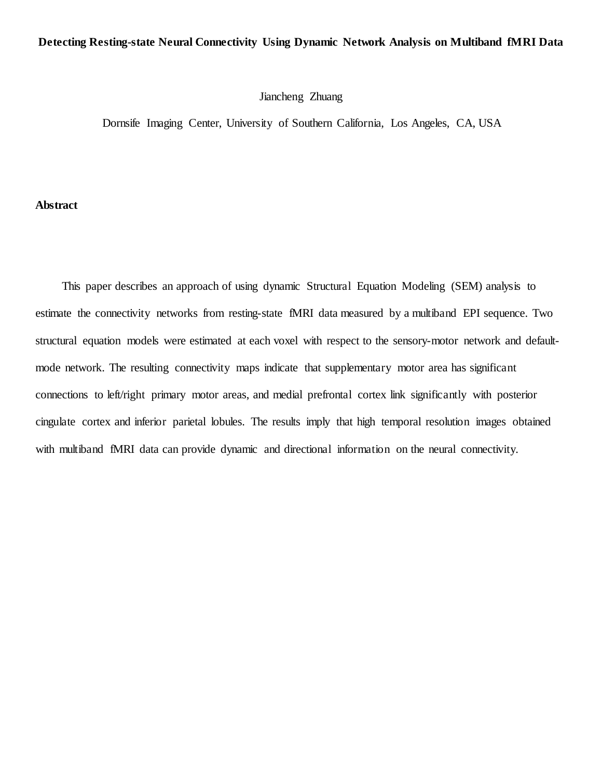# **Detecting Resting-state Neural Connectivity Using Dynamic Network Analysis on Multiband fMRI Data**

## Jiancheng Zhuang

Dornsife Imaging Center, University of Southern California, Los Angeles, CA, USA

## **Abstract**

This paper describes an approach of using dynamic Structural Equation Modeling (SEM) analysis to estimate the connectivity networks from resting-state fMRI data measured by a multiband EPI sequence. Two structural equation models were estimated at each voxel with respect to the sensory-motor network and defaultmode network. The resulting connectivity maps indicate that supplementary motor area has significant connections to left/right primary motor areas, and medial prefrontal cortex link significantly with posterior cingulate cortex and inferior parietal lobules. The results imply that high temporal resolution images obtained with multiband fMRI data can provide dynamic and directional information on the neural connectivity.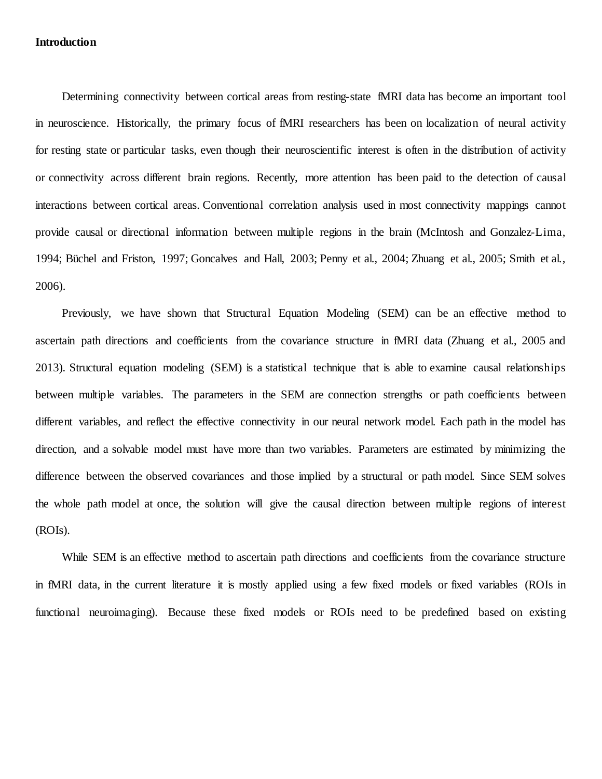### **Introduction**

Determining connectivity between cortical areas from resting-state fMRI data has become an important tool in neuroscience. Historically, the primary focus of fMRI researchers has been on localization of neural activity for resting state or particular tasks, even though their neuroscientific interest is often in the distribution of activity or connectivity across different brain regions. Recently, more attention has been paid to the detection of causal interactions between cortical areas. Conventional correlation analysis used in most connectivity mappings cannot provide causal or directional information between multiple regions in the brain (McIntosh and Gonzalez-Lima, 1994; Büchel and Friston, 1997; Goncalves and Hall, 2003; Penny et al., 2004; Zhuang et al., 2005; Smith et al., 2006).

Previously, we have shown that Structural Equation Modeling (SEM) can be an effective method to ascertain path directions and coefficients from the covariance structure in fMRI data (Zhuang et al., 2005 and 2013). Structural equation modeling (SEM) is a statistical technique that is able to examine causal relationships between multiple variables. The parameters in the SEM are connection strengths or path coefficients between different variables, and reflect the effective connectivity in our neural network model. Each path in the model has direction, and a solvable model must have more than two variables. Parameters are estimated by minimizing the difference between the observed covariances and those implied by a structural or path model. Since SEM solves the whole path model at once, the solution will give the causal direction between multiple regions of interest (ROIs).

While SEM is an effective method to ascertain path directions and coefficients from the covariance structure in fMRI data, in the current literature it is mostly applied using a few fixed models or fixed variables (ROIs in functional neuroimaging). Because these fixed models or ROIs need to be predefined based on existing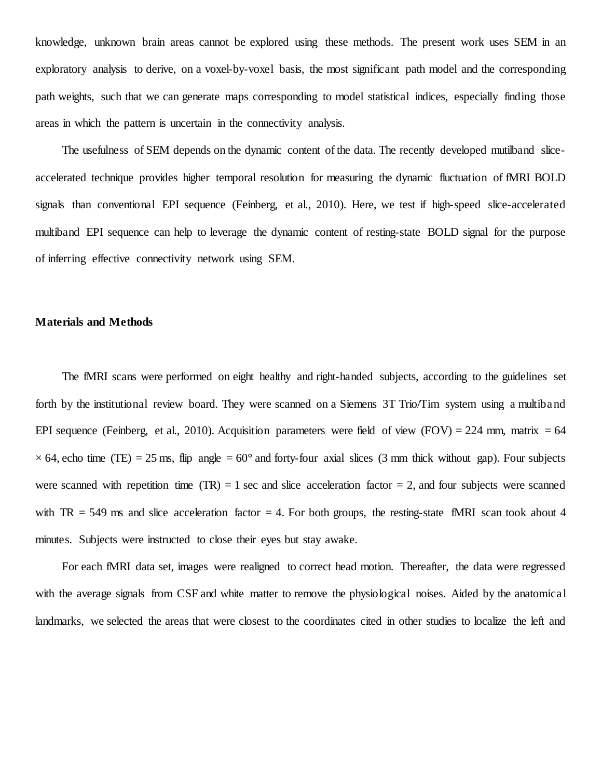knowledge, unknown brain areas cannot be explored using these methods. The present work uses SEM in an exploratory analysis to derive, on a voxel-by-voxel basis, the most significant path model and the corresponding path weights, such that we can generate maps corresponding to model statistical indices, especially finding those areas in which the pattern is uncertain in the connectivity analysis.

The usefulness of SEM depends on the dynamic content of the data. The recently developed mutilband sliceaccelerated technique provides higher temporal resolution for measuring the dynamic fluctuation of fMRI BOLD signals than conventional EPI sequence (Feinberg, et al., 2010). Here, we test if high-speed slice-accelerated multiband EPI sequence can help to leverage the dynamic content of resting-state BOLD signal for the purpose of inferring effective connectivity network using SEM.

# **Materials and Methods**

The fMRI scans were performed on eight healthy and right-handed subjects, according to the guidelines set forth by the institutional review board. They were scanned on a Siemens 3T Trio/Tim system using a multiband EPI sequence (Feinberg, et al., 2010). Acquisition parameters were field of view (FOV) = 224 mm, matrix = 64  $\times$  64, echo time (TE) = 25 ms, flip angle = 60° and forty-four axial slices (3 mm thick without gap). Four subjects were scanned with repetition time  $(TR) = 1$  sec and slice acceleration factor  $= 2$ , and four subjects were scanned with  $TR = 549$  ms and slice acceleration factor  $= 4$ . For both groups, the resting-state fMRI scan took about 4 minutes. Subjects were instructed to close their eyes but stay awake.

For each fMRI data set, images were realigned to correct head motion. Thereafter, the data were regressed with the average signals from CSF and white matter to remove the physiological noises. Aided by the anatomical landmarks, we selected the areas that were closest to the coordinates cited in other studies to localize the left and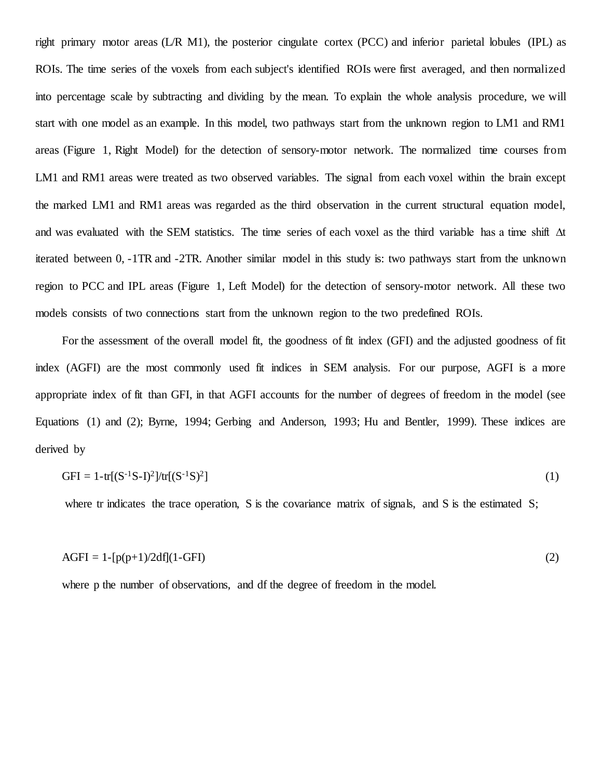right primary motor areas (L/R M1), the posterior cingulate cortex (PCC) and inferior parietal lobules (IPL) as ROIs. The time series of the voxels from each subject's identified ROIs were first averaged, and then normalized into percentage scale by subtracting and dividing by the mean. To explain the whole analysis procedure, we will start with one model as an example. In this model, two pathways start from the unknown region to LM1 and RM1 areas (Figure 1, Right Model) for the detection of sensory-motor network. The normalized time courses from LM1 and RM1 areas were treated as two observed variables. The signal from each voxel within the brain except the marked LM1 and RM1 areas was regarded as the third observation in the current structural equation model, and was evaluated with the SEM statistics. The time series of each voxel as the third variable has a time shift ∆t iterated between 0, -1TR and -2TR. Another similar model in this study is: two pathways start from the unknown region to PCC and IPL areas (Figure 1, Left Model) for the detection of sensory-motor network. All these two models consists of two connections start from the unknown region to the two predefined ROIs.

For the assessment of the overall model fit, the goodness of fit index (GFI) and the adjusted goodness of fit index (AGFI) are the most commonly used fit indices in SEM analysis. For our purpose, AGFI is a more appropriate index of fit than GFI, in that AGFI accounts for the number of degrees of freedom in the model (see Equations (1) and (2); Byrne, 1994; Gerbing and Anderson, 1993; Hu and Bentler, 1999). These indices are derived by

$$
GFI = 1 - tr[(S^{-1}S - I)^2]/tr[(S^{-1}S)^2]
$$
\n(1)

where tr indicates the trace operation, S is the covariance matrix of signals, and S is the estimated S;

$$
AGFI = 1-[p(p+1)/2df](1-GFI)
$$
\n(2)

where p the number of observations, and df the degree of freedom in the model.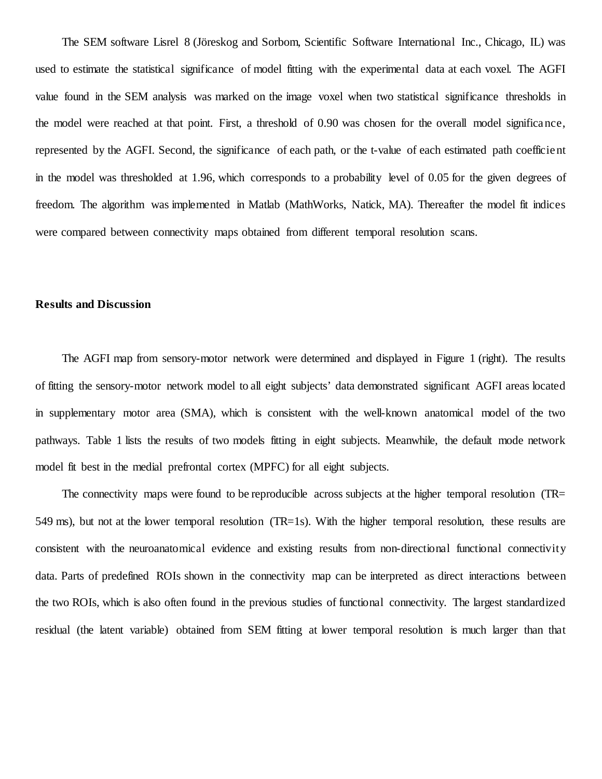The SEM software Lisrel 8 (Jöreskog and Sorbom, Scientific Software International Inc., Chicago, IL) was used to estimate the statistical significance of model fitting with the experimental data at each voxel. The AGFI value found in the SEM analysis was marked on the image voxel when two statistical significance thresholds in the model were reached at that point. First, a threshold of 0.90 was chosen for the overall model significance, represented by the AGFI. Second, the significance of each path, or the t-value of each estimated path coefficient in the model was thresholded at 1.96, which corresponds to a probability level of 0.05 for the given degrees of freedom. The algorithm was implemented in Matlab (MathWorks, Natick, MA). Thereafter the model fit indices were compared between connectivity maps obtained from different temporal resolution scans.

### **Results and Discussion**

The AGFI map from sensory-motor network were determined and displayed in Figure 1 (right). The results of fitting the sensory-motor network model to all eight subjects' data demonstrated significant AGFI areas located in supplementary motor area (SMA), which is consistent with the well-known anatomical model of the two pathways. Table 1 lists the results of two models fitting in eight subjects. Meanwhile, the default mode network model fit best in the medial prefrontal cortex (MPFC) for all eight subjects.

The connectivity maps were found to be reproducible across subjects at the higher temporal resolution (TR= 549 ms), but not at the lower temporal resolution (TR=1s). With the higher temporal resolution, these results are consistent with the neuroanatomical evidence and existing results from non-directional functional connectivity data. Parts of predefined ROIs shown in the connectivity map can be interpreted as direct interactions between the two ROIs, which is also often found in the previous studies of functional connectivity. The largest standardized residual (the latent variable) obtained from SEM fitting at lower temporal resolution is much larger than that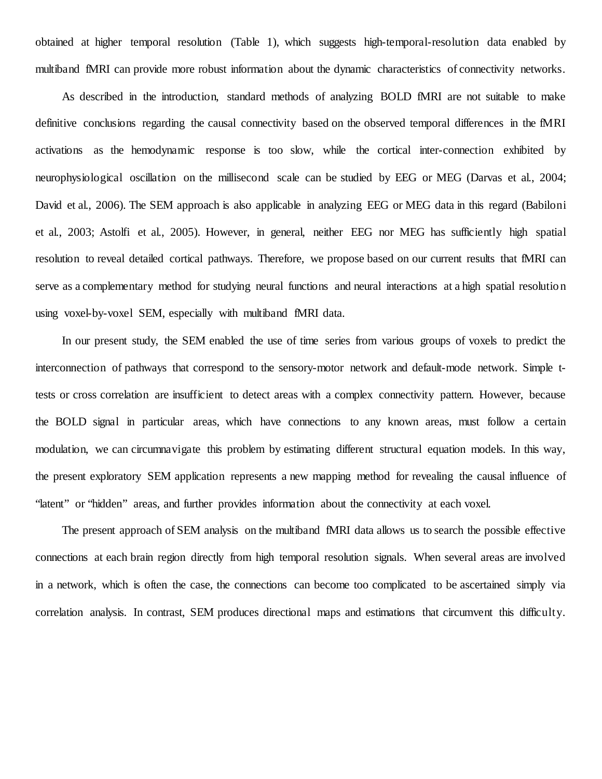obtained at higher temporal resolution (Table 1), which suggests high-temporal-resolution data enabled by multiband fMRI can provide more robust information about the dynamic characteristics of connectivity networks.

As described in the introduction, standard methods of analyzing BOLD fMRI are not suitable to make definitive conclusions regarding the causal connectivity based on the observed temporal differences in the fMRI activations as the hemodynamic response is too slow, while the cortical inter-connection exhibited by neurophysiological oscillation on the millisecond scale can be studied by EEG or MEG (Darvas et al., 2004; David et al., 2006). The SEM approach is also applicable in analyzing EEG or MEG data in this regard (Babiloni et al., 2003; Astolfi et al., 2005). However, in general, neither EEG nor MEG has sufficiently high spatial resolution to reveal detailed cortical pathways. Therefore, we propose based on our current results that fMRI can serve as a complementary method for studying neural functions and neural interactions at a high spatial resolutio n using voxel-by-voxel SEM, especially with multiband fMRI data.

In our present study, the SEM enabled the use of time series from various groups of voxels to predict the interconnection of pathways that correspond to the sensory-motor network and default-mode network. Simple ttests or cross correlation are insufficient to detect areas with a complex connectivity pattern. However, because the BOLD signal in particular areas, which have connections to any known areas, must follow a certain modulation, we can circumnavigate this problem by estimating different structural equation models. In this way, the present exploratory SEM application represents a new mapping method for revealing the causal influence of "latent" or "hidden" areas, and further provides information about the connectivity at each voxel.

The present approach of SEM analysis on the multiband fMRI data allows us to search the possible effective connections at each brain region directly from high temporal resolution signals. When several areas are involved in a network, which is often the case, the connections can become too complicated to be ascertained simply via correlation analysis. In contrast, SEM produces directional maps and estimations that circumvent this difficulty.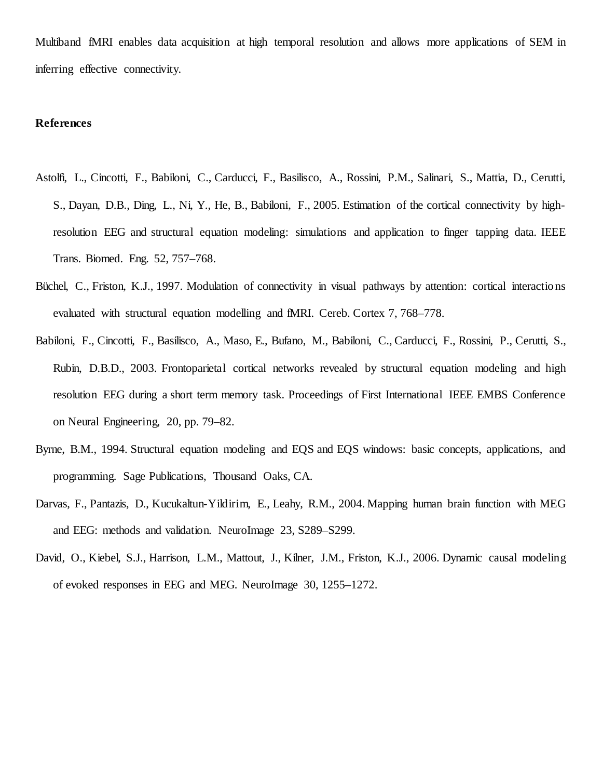Multiband fMRI enables data acquisition at high temporal resolution and allows more applications of SEM in inferring effective connectivity.

### **References**

- Astolfi, L., Cincotti, F., Babiloni, C., Carducci, F., Basilisco, A., Rossini, P.M., Salinari, S., Mattia, D., Cerutti, S., Dayan, D.B., Ding, L., Ni, Y., He, B., Babiloni, F., 2005. Estimation of the cortical connectivity by highresolution EEG and structural equation modeling: simulations and application to finger tapping data. IEEE Trans. Biomed. Eng. 52, 757–768.
- Büchel, C., Friston, K.J., 1997. Modulation of connectivity in visual pathways by attention: cortical interactio ns evaluated with structural equation modelling and fMRI. Cereb. Cortex 7, 768–778.
- Babiloni, F., Cincotti, F., Basilisco, A., Maso, E., Bufano, M., Babiloni, C., Carducci, F., Rossini, P., Cerutti, S., Rubin, D.B.D., 2003. Frontoparietal cortical networks revealed by structural equation modeling and high resolution EEG during a short term memory task. Proceedings of First International IEEE EMBS Conference on Neural Engineering, 20, pp. 79–82.
- Byrne, B.M., 1994. Structural equation modeling and EQS and EQS windows: basic concepts, applications, and programming. Sage Publications, Thousand Oaks, CA.
- Darvas, F., Pantazis, D., Kucukaltun-Yildirim, E., Leahy, R.M., 2004. Mapping human brain function with MEG and EEG: methods and validation. NeuroImage 23, S289–S299.
- David, O., Kiebel, S.J., Harrison, L.M., Mattout, J., Kilner, J.M., Friston, K.J., 2006. Dynamic causal modeling of evoked responses in EEG and MEG. NeuroImage 30, 1255–1272.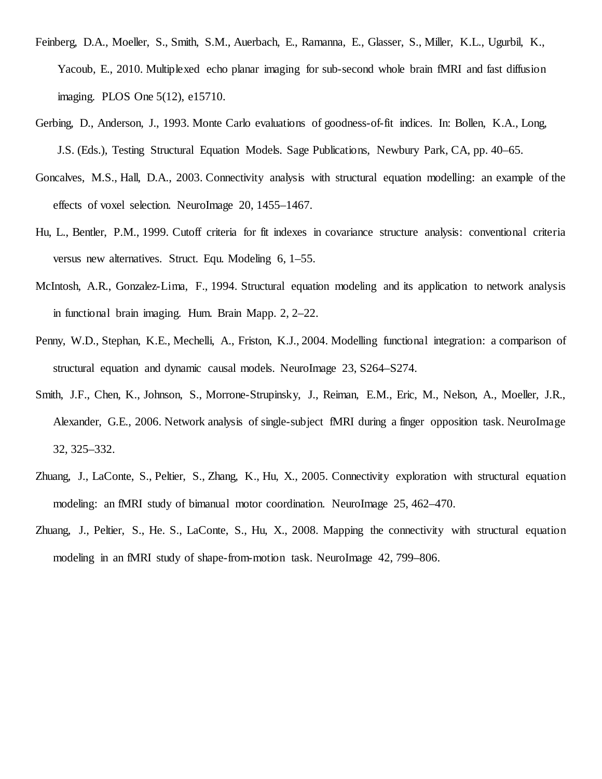- Feinberg, D.A., Moeller, S., Smith, S.M., Auerbach, E., Ramanna, E., Glasser, S., Miller, K.L., Ugurbil, K., Yacoub, E., 2010. Multiplexed echo planar imaging for sub-second whole brain fMRI and fast diffusion imaging. PLOS One 5(12), e15710.
- Gerbing, D., Anderson, J., 1993. Monte Carlo evaluations of goodness-of-fit indices. In: Bollen, K.A., Long, J.S. (Eds.), Testing Structural Equation Models. Sage Publications, Newbury Park, CA, pp. 40–65.
- Goncalves, M.S., Hall, D.A., 2003. Connectivity analysis with structural equation modelling: an example of the effects of voxel selection. NeuroImage 20, 1455–1467.
- Hu, L., Bentler, P.M., 1999. Cutoff criteria for fit indexes in covariance structure analysis: conventional criteria versus new alternatives. Struct. Equ. Modeling 6, 1–55.
- McIntosh, A.R., Gonzalez-Lima, F., 1994. Structural equation modeling and its application to network analysis in functional brain imaging. Hum. Brain Mapp. 2, 2–22.
- Penny, W.D., Stephan, K.E., Mechelli, A., Friston, K.J., 2004. Modelling functional integration: a comparison of structural equation and dynamic causal models. NeuroImage 23, S264–S274.
- Smith, J.F., Chen, K., Johnson, S., Morrone-Strupinsky, J., Reiman, E.M., Eric, M., Nelson, A., Moeller, J.R., Alexander, G.E., 2006. Network analysis of single-subject fMRI during a finger opposition task. NeuroImage 32, 325–332.
- Zhuang, J., LaConte, S., Peltier, S., Zhang, K., Hu, X., 2005. Connectivity exploration with structural equation modeling: an fMRI study of bimanual motor coordination. NeuroImage 25, 462–470.
- Zhuang, J., Peltier, S., He. S., LaConte, S., Hu, X., 2008. Mapping the connectivity with structural equation modeling in an fMRI study of shape-from-motion task. NeuroImage 42, 799–806.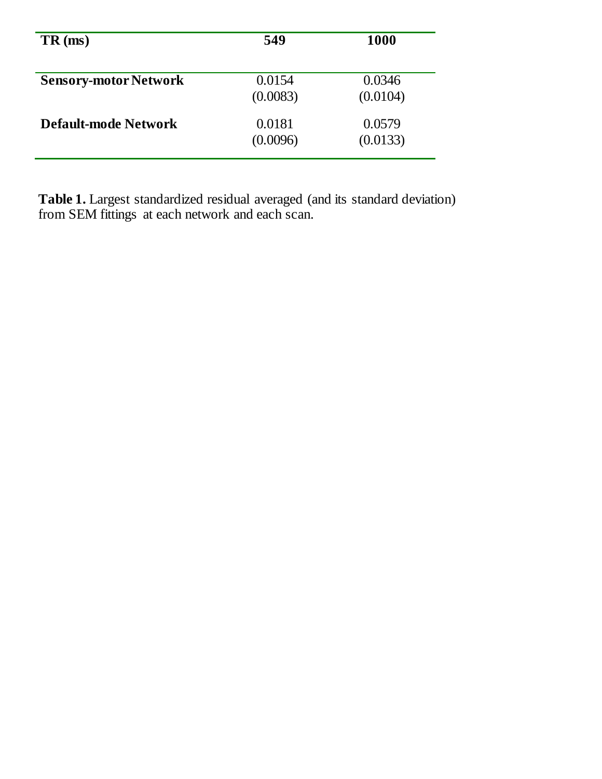| $TR \text{ (ms)}$            | 549                | <b>1000</b>        |
|------------------------------|--------------------|--------------------|
| <b>Sensory-motor Network</b> | 0.0154<br>(0.0083) | 0.0346<br>(0.0104) |
| <b>Default-mode Network</b>  | 0.0181<br>(0.0096) | 0.0579<br>(0.0133) |

Table 1. Largest standardized residual averaged (and its standard deviation) from SEM fittings at each network and each scan.